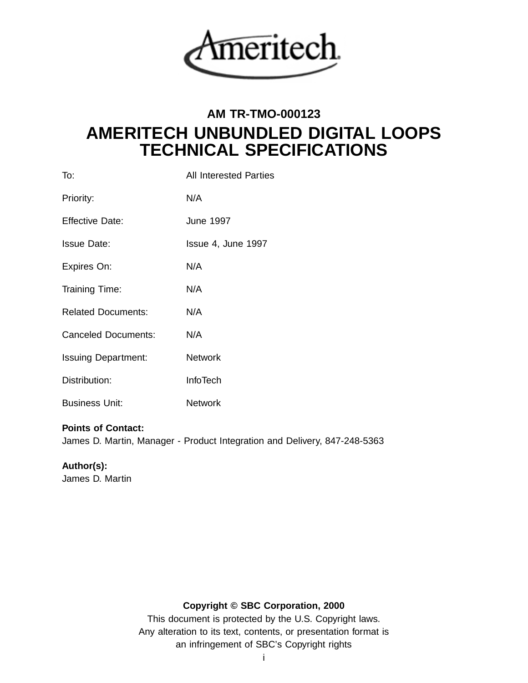

# **AM TR-TMO-000123 AMERITECH UNBUNDLED DIGITAL LOOPS TECHNICAL SPECIFICATIONS**

| To:                        | <b>All Interested Parties</b> |
|----------------------------|-------------------------------|
| Priority:                  | N/A                           |
| <b>Effective Date:</b>     | <b>June 1997</b>              |
| <b>Issue Date:</b>         | Issue 4, June 1997            |
| Expires On:                | N/A                           |
| Training Time:             | N/A                           |
| <b>Related Documents:</b>  | N/A                           |
| <b>Canceled Documents:</b> | N/A                           |
| <b>Issuing Department:</b> | <b>Network</b>                |
| Distribution:              | <b>InfoTech</b>               |
| <b>Business Unit:</b>      | <b>Network</b>                |
|                            |                               |

# **Points of Contact:**

James D. Martin, Manager - Product Integration and Delivery, 847-248-5363

# **Author(s):**

James D. Martin

# **Copyright © SBC Corporation, 2000**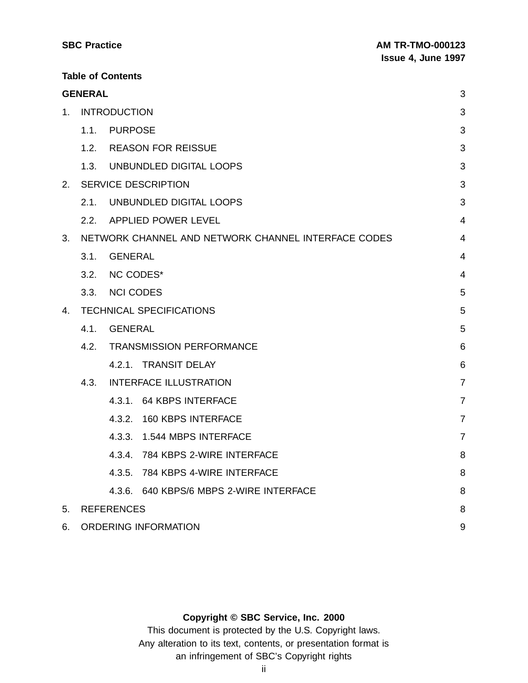| <b>SBC Practice</b>      | <b>AM TR-TMO-000123</b>   |
|--------------------------|---------------------------|
|                          | <b>Issue 4, June 1997</b> |
| <b>Table of Contents</b> |                           |

|                                                           | <b>GENERAL</b>              |                                         | 3              |
|-----------------------------------------------------------|-----------------------------|-----------------------------------------|----------------|
| 1.                                                        | <b>INTRODUCTION</b>         |                                         |                |
|                                                           | 1.1.                        | <b>PURPOSE</b>                          | 3              |
|                                                           |                             | 1.2. REASON FOR REISSUE                 | 3              |
|                                                           |                             | 1.3. UNBUNDLED DIGITAL LOOPS            | 3              |
| 2.                                                        |                             | <b>SERVICE DESCRIPTION</b>              | 3              |
|                                                           | 2.1.                        | UNBUNDLED DIGITAL LOOPS                 | 3              |
|                                                           |                             | 2.2. APPLIED POWER LEVEL                | $\overline{4}$ |
| 3.<br>NETWORK CHANNEL AND NETWORK CHANNEL INTERFACE CODES |                             |                                         | $\overline{4}$ |
|                                                           | 3.1.                        | <b>GENERAL</b>                          | 4              |
|                                                           | 3.2.                        | <b>NC CODES*</b>                        | $\overline{4}$ |
|                                                           |                             | 3.3. NCI CODES                          | 5              |
| 4.                                                        |                             | <b>TECHNICAL SPECIFICATIONS</b>         | 5              |
|                                                           | 4.1.                        | <b>GENERAL</b>                          | 5              |
| <b>TRANSMISSION PERFORMANCE</b><br>4.2.                   |                             | 6                                       |                |
|                                                           |                             | 4.2.1. TRANSIT DELAY                    | 6              |
|                                                           |                             | 4.3. INTERFACE ILLUSTRATION             | $\overline{7}$ |
|                                                           |                             | 4.3.1. 64 KBPS INTERFACE                | $\overline{7}$ |
|                                                           |                             | 4.3.2. 160 KBPS INTERFACE               | $\overline{7}$ |
|                                                           |                             | 4.3.3. 1.544 MBPS INTERFACE             | $\overline{7}$ |
|                                                           |                             | 4.3.4. 784 KBPS 2-WIRE INTERFACE        | 8              |
|                                                           |                             | 4.3.5. 784 KBPS 4-WIRE INTERFACE        | 8              |
|                                                           |                             | 4.3.6. 640 KBPS/6 MBPS 2-WIRE INTERFACE | 8              |
| 5.                                                        | <b>REFERENCES</b>           |                                         | 8              |
| 6.                                                        | <b>ORDERING INFORMATION</b> |                                         | 9              |

#### **Copyright © SBC Service, Inc. 2000**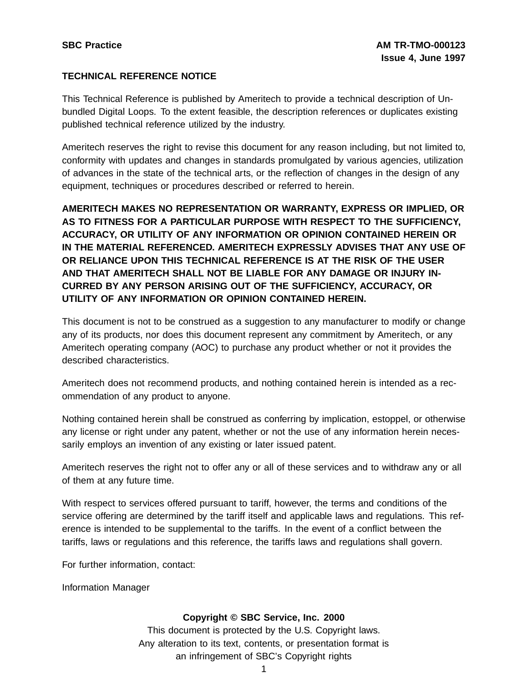#### **TECHNICAL REFERENCE NOTICE**

This Technical Reference is published by Ameritech to provide a technical description of Unbundled Digital Loops. To the extent feasible, the description references or duplicates existing published technical reference utilized by the industry.

Ameritech reserves the right to revise this document for any reason including, but not limited to, conformity with updates and changes in standards promulgated by various agencies, utilization of advances in the state of the technical arts, or the reflection of changes in the design of any equipment, techniques or procedures described or referred to herein.

**AMERITECH MAKES NO REPRESENTATION OR WARRANTY, EXPRESS OR IMPLIED, OR AS TO FITNESS FOR A PARTICULAR PURPOSE WITH RESPECT TO THE SUFFICIENCY, ACCURACY, OR UTILITY OF ANY INFORMATION OR OPINION CONTAINED HEREIN OR IN THE MATERIAL REFERENCED. AMERITECH EXPRESSLY ADVISES THAT ANY USE OF OR RELIANCE UPON THIS TECHNICAL REFERENCE IS AT THE RISK OF THE USER AND THAT AMERITECH SHALL NOT BE LIABLE FOR ANY DAMAGE OR INJURY IN-CURRED BY ANY PERSON ARISING OUT OF THE SUFFICIENCY, ACCURACY, OR UTILITY OF ANY INFORMATION OR OPINION CONTAINED HEREIN.**

This document is not to be construed as a suggestion to any manufacturer to modify or change any of its products, nor does this document represent any commitment by Ameritech, or any Ameritech operating company (AOC) to purchase any product whether or not it provides the described characteristics.

Ameritech does not recommend products, and nothing contained herein is intended as a recommendation of any product to anyone.

Nothing contained herein shall be construed as conferring by implication, estoppel, or otherwise any license or right under any patent, whether or not the use of any information herein necessarily employs an invention of any existing or later issued patent.

Ameritech reserves the right not to offer any or all of these services and to withdraw any or all of them at any future time.

With respect to services offered pursuant to tariff, however, the terms and conditions of the service offering are determined by the tariff itself and applicable laws and regulations. This reference is intended to be supplemental to the tariffs. In the event of a conflict between the tariffs, laws or regulations and this reference, the tariffs laws and regulations shall govern.

For further information, contact:

Information Manager

#### **Copyright © SBC Service, Inc. 2000**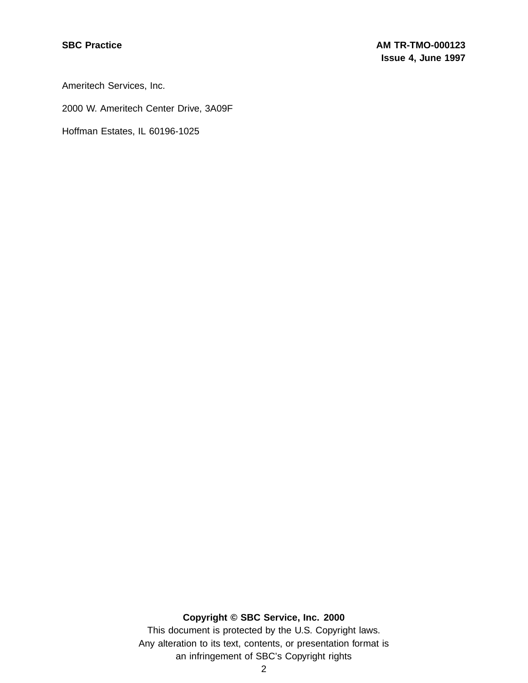Ameritech Services, Inc.

2000 W. Ameritech Center Drive, 3A09F

Hoffman Estates, IL 60196-1025

#### **Copyright © SBC Service, Inc. 2000**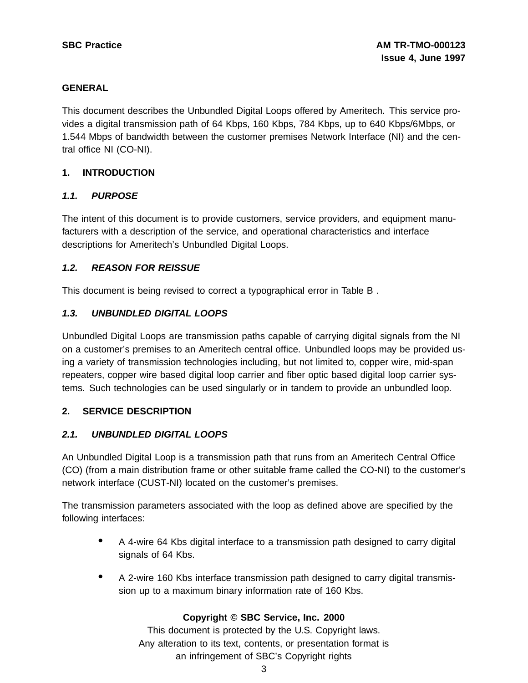#### **GENERAL**

This document describes the Unbundled Digital Loops offered by Ameritech. This service provides a digital transmission path of 64 Kbps, 160 Kbps, 784 Kbps, up to 640 Kbps/6Mbps, or 1.544 Mbps of bandwidth between the customer premises Network Interface (NI) and the central office NI (CO-NI).

#### **1. INTRODUCTION**

#### **1.1. PURPOSE**

The intent of this document is to provide customers, service providers, and equipment manufacturers with a description of the service, and operational characteristics and interface descriptions for Ameritech's Unbundled Digital Loops.

# **1.2. REASON FOR REISSUE**

This document is being revised to correct a typographical error in Table B .

# **1.3. UNBUNDLED DIGITAL LOOPS**

Unbundled Digital Loops are transmission paths capable of carrying digital signals from the NI on a customer's premises to an Ameritech central office. Unbundled loops may be provided using a variety of transmission technologies including, but not limited to, copper wire, mid-span repeaters, copper wire based digital loop carrier and fiber optic based digital loop carrier systems. Such technologies can be used singularly or in tandem to provide an unbundled loop.

#### **2. SERVICE DESCRIPTION**

# **2.1. UNBUNDLED DIGITAL LOOPS**

An Unbundled Digital Loop is a transmission path that runs from an Ameritech Central Office (CO) (from a main distribution frame or other suitable frame called the CO-NI) to the customer's network interface (CUST-NI) located on the customer's premises.

The transmission parameters associated with the loop as defined above are specified by the following interfaces:

- <sup>A</sup> 4-wire <sup>64</sup> Kbs digital interface to <sup>a</sup> transmission path designed to carry digital signals of 64 Kbs.
- <sup>A</sup> 2-wire <sup>160</sup> Kbs interface transmission path designed to carry digital transmission up to a maximum binary information rate of 160 Kbs.

#### **Copyright © SBC Service, Inc. 2000**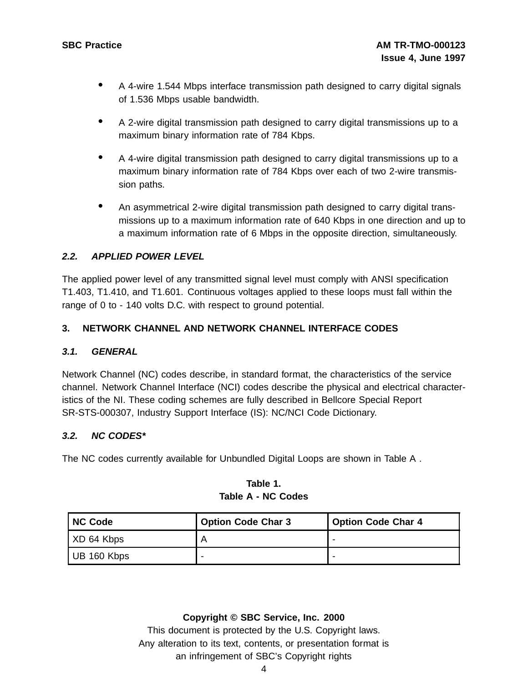- <sup>A</sup> 4-wire 1.544 Mbps interface transmission path designed to carry digital signals of 1.536 Mbps usable bandwidth.
- <sup>A</sup> 2-wire digital transmission path designed to carry digital transmissions up to <sup>a</sup> maximum binary information rate of 784 Kbps.
- <sup>A</sup> 4-wire digital transmission path designed to carry digital transmissions up to <sup>a</sup> maximum binary information rate of 784 Kbps over each of two 2-wire transmission paths.
- An asymmetrical 2-wire digital transmission path designed to carry digital transmissions up to a maximum information rate of 640 Kbps in one direction and up to a maximum information rate of 6 Mbps in the opposite direction, simultaneously.

# **2.2. APPLIED POWER LEVEL**

The applied power level of any transmitted signal level must comply with ANSI specification T1.403, T1.410, and T1.601. Continuous voltages applied to these loops must fall within the range of 0 to - 140 volts D.C. with respect to ground potential.

# **3. NETWORK CHANNEL AND NETWORK CHANNEL INTERFACE CODES**

# **3.1. GENERAL**

Network Channel (NC) codes describe, in standard format, the characteristics of the service channel. Network Channel Interface (NCI) codes describe the physical and electrical characteristics of the NI. These coding schemes are fully described in Bellcore Special Report SR-STS-000307, Industry Support Interface (IS): NC/NCI Code Dictionary.

# **3.2. NC CODES\***

The NC codes currently available for Unbundled Digital Loops are shown in Table A .

| <b>NC Code</b> | <b>Option Code Char 3</b> | <b>Option Code Char 4</b> |
|----------------|---------------------------|---------------------------|
| XD 64 Kbps     |                           |                           |
| UB 160 Kbps    | -                         |                           |

# **Table 1. Table A - NC Codes**

#### **Copyright © SBC Service, Inc. 2000**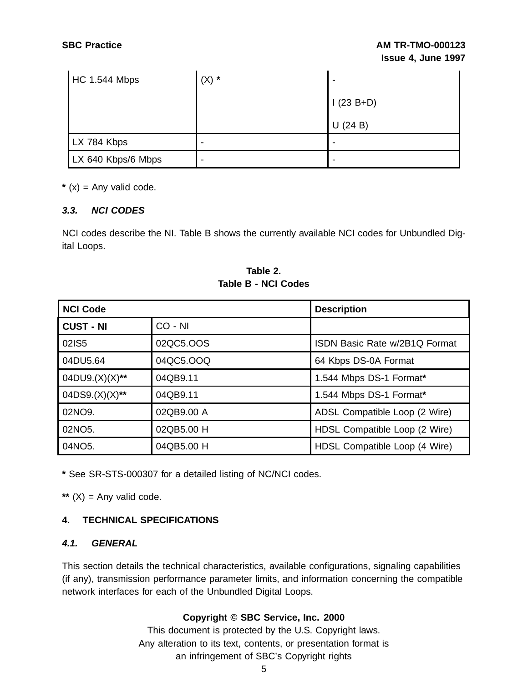| <b>HC 1.544 Mbps</b> | $(X) *$ |               |
|----------------------|---------|---------------|
|                      |         | $1(23 B + D)$ |
|                      |         | $U$ (24 B)    |
| LX 784 Kbps          |         |               |
| LX 640 Kbps/6 Mbps   |         |               |

 $*(x)$  = Any valid code.

#### **3.3. NCI CODES**

NCI codes describe the NI. Table B shows the currently available NCI codes for Unbundled Digital Loops.

| <b>NCI Code</b>     |            | <b>Description</b>            |
|---------------------|------------|-------------------------------|
| <b>CUST - NI</b>    | CO - NI    |                               |
| 02IS5               | 02QC5.OOS  | ISDN Basic Rate w/2B1Q Format |
| 04DU5.64            | 04QC5.OOQ  | 64 Kbps DS-0A Format          |
| $04DU9.(X)(X)$ **   | 04QB9.11   | 1.544 Mbps DS-1 Format*       |
| $04DS9.(X)(X)**$    | 04QB9.11   | 1.544 Mbps DS-1 Format*       |
| 02NO9.              | 02QB9.00 A | ADSL Compatible Loop (2 Wire) |
| 02NO <sub>5</sub> . | 02QB5.00 H | HDSL Compatible Loop (2 Wire) |
| 04NO <sub>5</sub> . | 04QB5.00 H | HDSL Compatible Loop (4 Wire) |

**Table 2. Table B - NCI Codes**

**\*** See SR-STS-000307 for a detailed listing of NC/NCI codes.

\*\*  $(X)$  = Any valid code.

# **4. TECHNICAL SPECIFICATIONS**

#### **4.1. GENERAL**

This section details the technical characteristics, available configurations, signaling capabilities (if any), transmission performance parameter limits, and information concerning the compatible network interfaces for each of the Unbundled Digital Loops.

# **Copyright © SBC Service, Inc. 2000**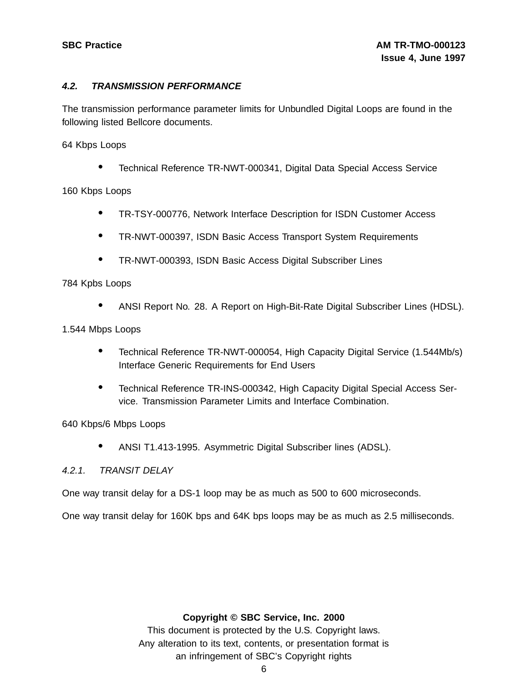#### **4.2. TRANSMISSION PERFORMANCE**

The transmission performance parameter limits for Unbundled Digital Loops are found in the following listed Bellcore documents.

64 Kbps Loops

• Technical Reference TR-NWT-000341, Digital Data Special Access Service

160 Kbps Loops

- TR-TSY-000776, Network Interface Description for ISDN Customer Access
- TR-NWT-000397, ISDN Basic Access Transport System Requirements
- TR-NWT-000393, ISDN Basic Access Digital Subscriber Lines

#### 784 Kpbs Loops

• ANSI Report No. 28. <sup>A</sup> Report on High-Bit-Rate Digital Subscriber Lines (HDSL).

1.544 Mbps Loops

- Technical Reference TR-NWT-000054, High Capacity Digital Service (1.544Mb/s) Interface Generic Requirements for End Users
- Technical Reference TR-INS-000342, High Capacity Digital Special Access Service. Transmission Parameter Limits and Interface Combination.

640 Kbps/6 Mbps Loops

• ANSI T1.413-1995. Asymmetric Digital Subscriber lines (ADSL).

#### 4.2.1. TRANSIT DELAY

One way transit delay for a DS-1 loop may be as much as 500 to 600 microseconds.

One way transit delay for 160K bps and 64K bps loops may be as much as 2.5 milliseconds.

#### **Copyright © SBC Service, Inc. 2000**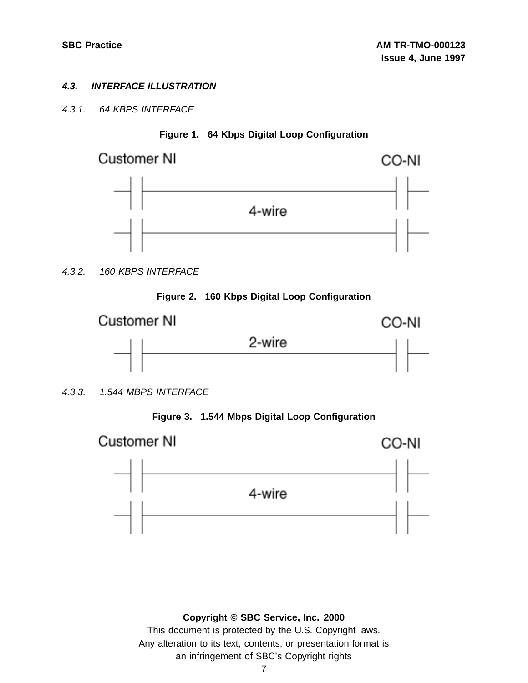# **4.3. INTERFACE ILLUSTRATION**

# 4.3.1. 64 KBPS INTERFACE



**Figure 1. 64 Kbps Digital Loop Configuration**

4.3.2. 160 KBPS INTERFACE





4.3.3. 1.544 MBPS INTERFACE



Customer NI

CO-NI



# **Copyright © SBC Service, Inc. 2000**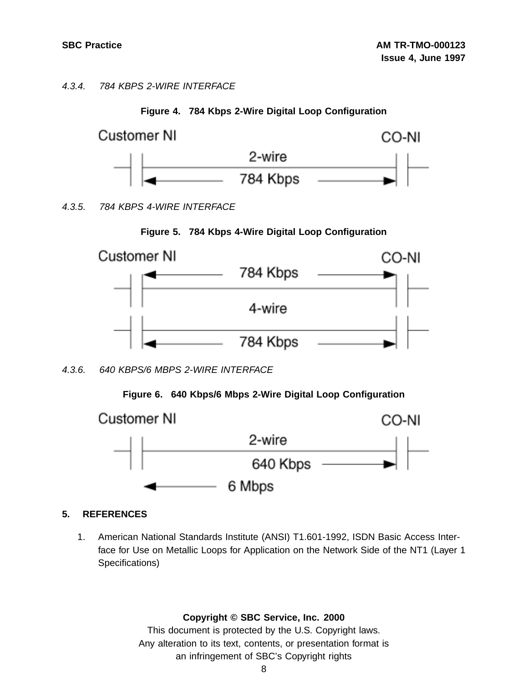4.3.4. 784 KBPS 2-WIRE INTERFACE





4.3.5. 784 KBPS 4-WIRE INTERFACE





4.3.6. 640 KBPS/6 MBPS 2-WIRE INTERFACE





# **5. REFERENCES**

1. American National Standards Institute (ANSI) T1.601-1992, ISDN Basic Access Interface for Use on Metallic Loops for Application on the Network Side of the NT1 (Layer 1 Specifications)

#### **Copyright © SBC Service, Inc. 2000**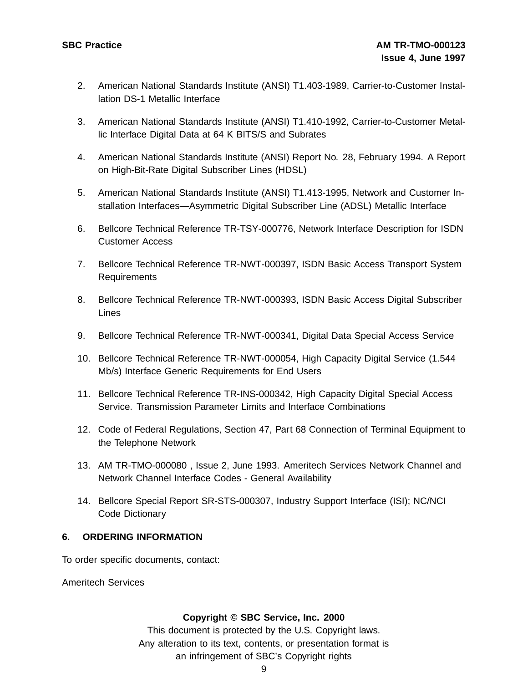- 2. American National Standards Institute (ANSI) T1.403-1989, Carrier-to-Customer Installation DS-1 Metallic Interface
- 3. American National Standards Institute (ANSI) T1.410-1992, Carrier-to-Customer Metallic Interface Digital Data at 64 K BITS/S and Subrates
- 4. American National Standards Institute (ANSI) Report No. 28, February 1994. A Report on High-Bit-Rate Digital Subscriber Lines (HDSL)
- 5. American National Standards Institute (ANSI) T1.413-1995, Network and Customer Installation Interfaces—Asymmetric Digital Subscriber Line (ADSL) Metallic Interface
- 6. Bellcore Technical Reference TR-TSY-000776, Network Interface Description for ISDN Customer Access
- 7. Bellcore Technical Reference TR-NWT-000397, ISDN Basic Access Transport System Requirements
- 8. Bellcore Technical Reference TR-NWT-000393, ISDN Basic Access Digital Subscriber Lines
- 9. Bellcore Technical Reference TR-NWT-000341, Digital Data Special Access Service
- 10. Bellcore Technical Reference TR-NWT-000054, High Capacity Digital Service (1.544 Mb/s) Interface Generic Requirements for End Users
- 11. Bellcore Technical Reference TR-INS-000342, High Capacity Digital Special Access Service. Transmission Parameter Limits and Interface Combinations
- 12. Code of Federal Regulations, Section 47, Part 68 Connection of Terminal Equipment to the Telephone Network
- 13. AM TR-TMO-000080 , Issue 2, June 1993. Ameritech Services Network Channel and Network Channel Interface Codes - General Availability
- 14. Bellcore Special Report SR-STS-000307, Industry Support Interface (ISI); NC/NCI Code Dictionary

#### **6. ORDERING INFORMATION**

To order specific documents, contact:

Ameritech Services

#### **Copyright © SBC Service, Inc. 2000**